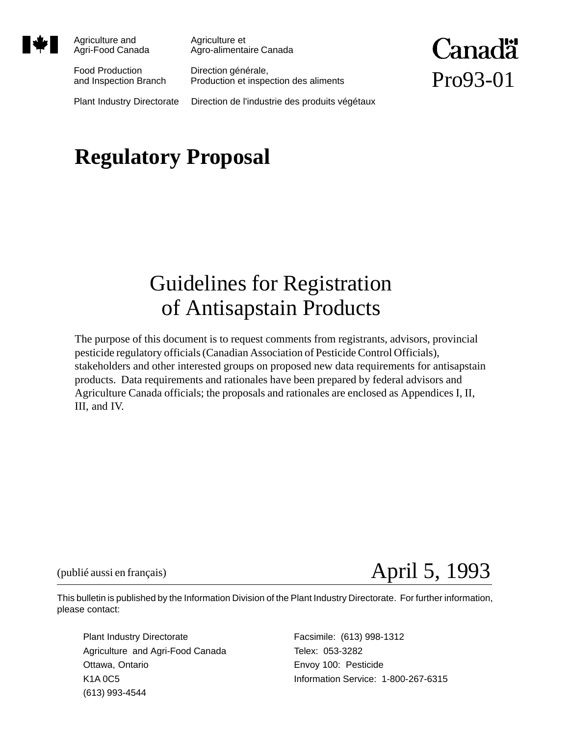

Agriculture and **Agriculture et** 

Agri-Food Canada Agro-alimentaire Canada

Food Production Direction générale,

and Inspection Branch Production et inspection des aliments

**Canadä** Pro93-01

Plant Industry Directorate Direction de l'industrie des produits végétaux

# **Regulatory Proposal**

## Guidelines for Registration of Antisapstain Products

The purpose of this document is to request comments from registrants, advisors, provincial pesticide regulatory officials (Canadian Association of Pesticide Control Officials), stakeholders and other interested groups on proposed new data requirements for antisapstain products. Data requirements and rationales have been prepared by federal advisors and Agriculture Canada officials; the proposals and rationales are enclosed as Appendices I, II, III, and IV.

(publié aussi en français)

# April 5, 1993

This bulletin is published by the Information Division of the Plant Industry Directorate. For further information, please contact:

Plant Industry Directorate Facsimile: (613) 998-1312 Agriculture and Agri-Food Canada Telex: 053-3282 Ottawa, Ontario **Envoy 100: Pesticide** (613) 993-4544

K1A 0C5 **Information Service: 1-800-267-6315**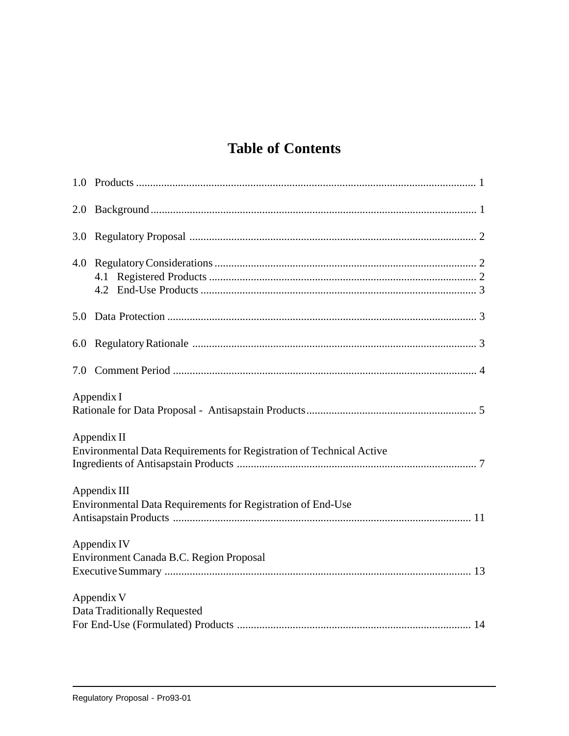## **Table of Contents**

| 2.0                                                                                 |                                         |  |
|-------------------------------------------------------------------------------------|-----------------------------------------|--|
| 3.0                                                                                 |                                         |  |
|                                                                                     |                                         |  |
| 5.0                                                                                 |                                         |  |
|                                                                                     |                                         |  |
|                                                                                     |                                         |  |
| Appendix I                                                                          |                                         |  |
| Appendix II<br>Environmental Data Requirements for Registration of Technical Active |                                         |  |
| Appendix III<br>Environmental Data Requirements for Registration of End-Use         |                                         |  |
|                                                                                     | Appendix IV                             |  |
|                                                                                     | Environment Canada B.C. Region Proposal |  |
|                                                                                     | Appendix V                              |  |
|                                                                                     | Data Traditionally Requested            |  |
|                                                                                     |                                         |  |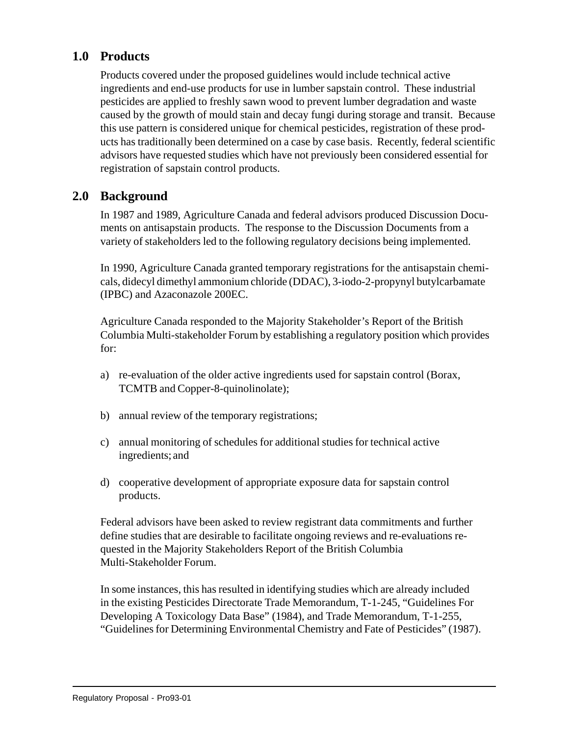## **1.0 Products**

Products covered under the proposed guidelines would include technical active ingredients and end-use products for use in lumber sapstain control. These industrial pesticides are applied to freshly sawn wood to prevent lumber degradation and waste caused by the growth of mould stain and decay fungi during storage and transit. Because this use pattern is considered unique for chemical pesticides, registration of these products has traditionally been determined on a case by case basis. Recently, federal scientific advisors have requested studies which have not previously been considered essential for registration of sapstain control products.

## **2.0 Background**

In 1987 and 1989, Agriculture Canada and federal advisors produced Discussion Documents on antisapstain products. The response to the Discussion Documents from a variety of stakeholders led to the following regulatory decisions being implemented.

In 1990, Agriculture Canada granted temporary registrations for the antisapstain chemicals, didecyl dimethyl ammonium chloride (DDAC), 3-iodo-2-propynyl butylcarbamate (IPBC) and Azaconazole 200EC.

Agriculture Canada responded to the Majority Stakeholder's Report of the British Columbia Multi-stakeholder Forum by establishing a regulatory position which provides for:

- a) re-evaluation of the older active ingredients used for sapstain control (Borax, TCMTB and Copper-8-quinolinolate);
- b) annual review of the temporary registrations;
- c) annual monitoring of schedules for additional studies for technical active ingredients; and
- d) cooperative development of appropriate exposure data for sapstain control products.

Federal advisors have been asked to review registrant data commitments and further define studies that are desirable to facilitate ongoing reviews and re-evaluations requested in the Majority Stakeholders Report of the British Columbia Multi-Stakeholder Forum.

In some instances, this has resulted in identifying studies which are already included in the existing Pesticides Directorate Trade Memorandum, T-1-245, "Guidelines For Developing A Toxicology Data Base" (1984), and Trade Memorandum, T-1-255, "Guidelines for Determining Environmental Chemistry and Fate of Pesticides" (1987).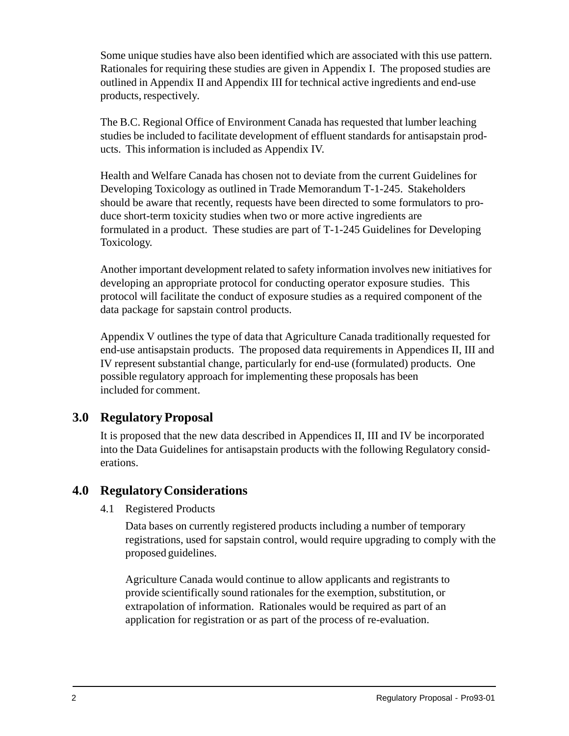Some unique studies have also been identified which are associated with this use pattern. Rationales for requiring these studies are given in Appendix I. The proposed studies are outlined in Appendix II and Appendix III for technical active ingredients and end-use products, respectively.

The B.C. Regional Office of Environment Canada has requested that lumber leaching studies be included to facilitate development of effluent standards for antisapstain products. This information is included as Appendix IV.

Health and Welfare Canada has chosen not to deviate from the current Guidelines for Developing Toxicology as outlined in Trade Memorandum T-1-245. Stakeholders should be aware that recently, requests have been directed to some formulators to produce short-term toxicity studies when two or more active ingredients are formulated in a product. These studies are part of T-1-245 Guidelines for Developing Toxicology.

Another important development related to safety information involves new initiatives for developing an appropriate protocol for conducting operator exposure studies. This protocol will facilitate the conduct of exposure studies as a required component of the data package for sapstain control products.

Appendix V outlines the type of data that Agriculture Canada traditionally requested for end-use antisapstain products. The proposed data requirements in Appendices II, III and IV represent substantial change, particularly for end-use (formulated) products. One possible regulatory approach for implementing these proposals has been included for comment.

## **3.0 Regulatory Proposal**

It is proposed that the new data described in Appendices II, III and IV be incorporated into the Data Guidelines for antisapstain products with the following Regulatory considerations.

## **4.0 Regulatory Considerations**

4.1 Registered Products

Data bases on currently registered products including a number of temporary registrations, used for sapstain control, would require upgrading to comply with the proposed guidelines.

Agriculture Canada would continue to allow applicants and registrants to provide scientifically sound rationales for the exemption, substitution, or extrapolation of information. Rationales would be required as part of an application for registration or as part of the process of re-evaluation.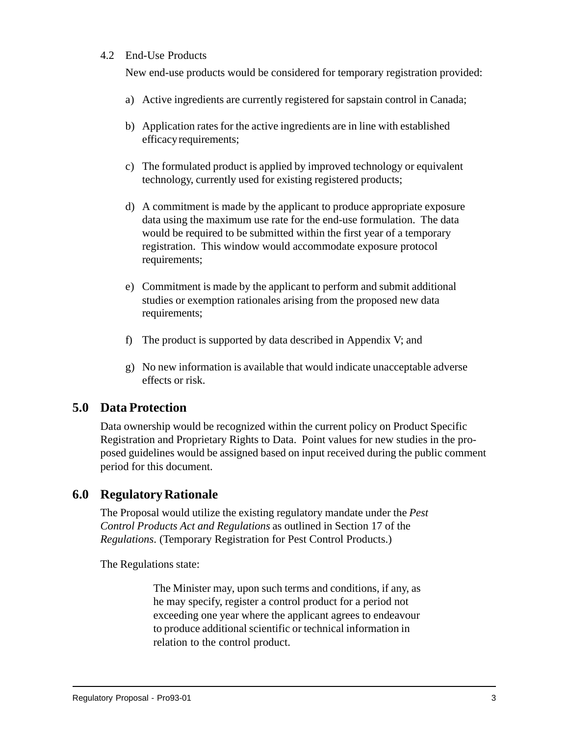#### 4.2 End-Use Products

New end-use products would be considered for temporary registration provided:

- a) Active ingredients are currently registered for sapstain control in Canada;
- b) Application rates for the active ingredients are in line with established efficacy requirements;
- c) The formulated product is applied by improved technology or equivalent technology, currently used for existing registered products;
- d) A commitment is made by the applicant to produce appropriate exposure data using the maximum use rate for the end-use formulation. The data would be required to be submitted within the first year of a temporary registration. This window would accommodate exposure protocol requirements;
- e) Commitment is made by the applicant to perform and submit additional studies or exemption rationales arising from the proposed new data requirements;
- f) The product is supported by data described in Appendix V; and
- g) No new information is available that would indicate unacceptable adverse effects or risk.

## **5.0 Data Protection**

Data ownership would be recognized within the current policy on Product Specific Registration and Proprietary Rights to Data. Point values for new studies in the proposed guidelines would be assigned based on input received during the public comment period for this document.

## **6.0 Regulatory Rationale**

The Proposal would utilize the existing regulatory mandate under the *Pest Control Products Act and Regulations* as outlined in Section 17 of the *Regulations*. (Temporary Registration for Pest Control Products.)

The Regulations state:

The Minister may, upon such terms and conditions, if any, as he may specify, register a control product for a period not exceeding one year where the applicant agrees to endeavour to produce additional scientific or technical information in relation to the control product.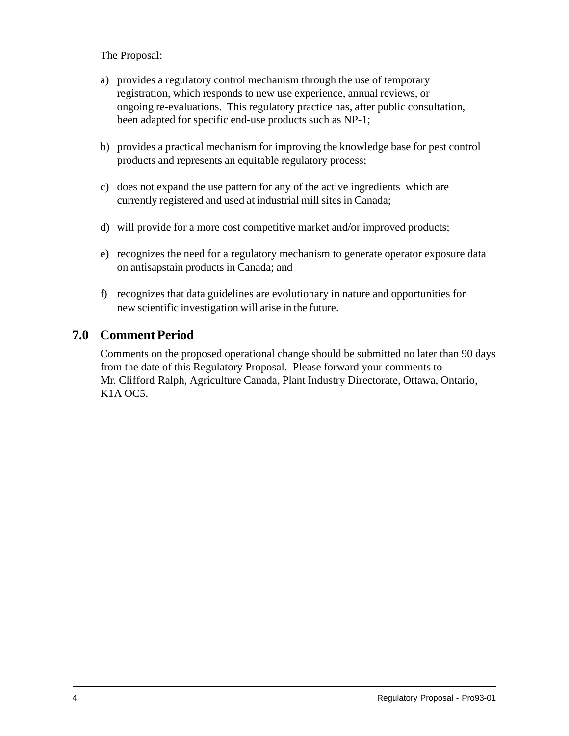The Proposal:

- a) provides a regulatory control mechanism through the use of temporary registration, which responds to new use experience, annual reviews, or ongoing re-evaluations. This regulatory practice has, after public consultation, been adapted for specific end-use products such as NP-1;
- b) provides a practical mechanism for improving the knowledge base for pest control products and represents an equitable regulatory process;
- c) does not expand the use pattern for any of the active ingredients which are currently registered and used at industrial mill sites in Canada;
- d) will provide for a more cost competitive market and/or improved products;
- e) recognizes the need for a regulatory mechanism to generate operator exposure data on antisapstain products in Canada; and
- f) recognizes that data guidelines are evolutionary in nature and opportunities for new scientific investigation will arise in the future.

## **7.0 Comment Period**

Comments on the proposed operational change should be submitted no later than 90 days from the date of this Regulatory Proposal. Please forward your comments to Mr. Clifford Ralph, Agriculture Canada, Plant Industry Directorate, Ottawa, Ontario, K1A OC5.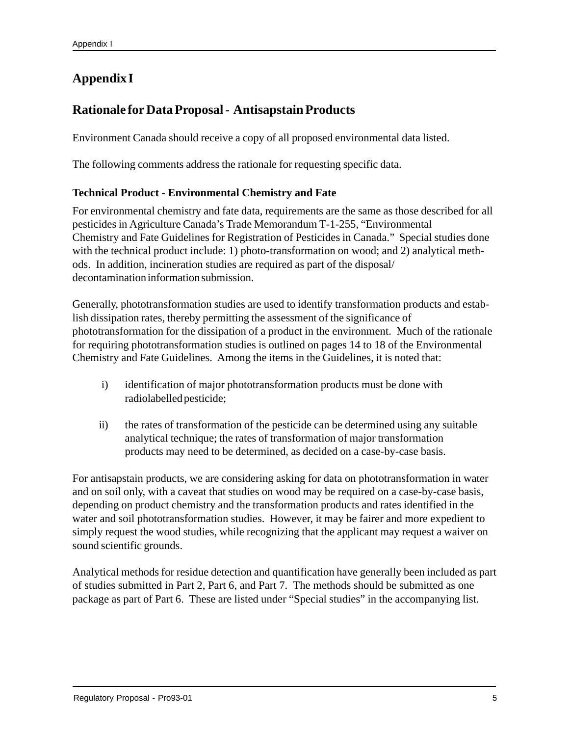## **Appendix I**

## **Rationale for Data Proposal - Antisapstain Products**

Environment Canada should receive a copy of all proposed environmental data listed.

The following comments address the rationale for requesting specific data.

#### **Technical Product - Environmental Chemistry and Fate**

For environmental chemistry and fate data, requirements are the same as those described for all pesticides in Agriculture Canada's Trade Memorandum T-1-255, "Environmental Chemistry and Fate Guidelines for Registration of Pesticides in Canada." Special studies done with the technical product include: 1) photo-transformation on wood; and 2) analytical methods. In addition, incineration studies are required as part of the disposal/ decontamination information submission.

Generally, phototransformation studies are used to identify transformation products and establish dissipation rates, thereby permitting the assessment of the significance of phototransformation for the dissipation of a product in the environment. Much of the rationale for requiring phototransformation studies is outlined on pages 14 to 18 of the Environmental Chemistry and Fate Guidelines. Among the items in the Guidelines, it is noted that:

- i) identification of major phototransformation products must be done with radiolabelled pesticide;
- ii) the rates of transformation of the pesticide can be determined using any suitable analytical technique; the rates of transformation of major transformation products may need to be determined, as decided on a case-by-case basis.

For antisapstain products, we are considering asking for data on phototransformation in water and on soil only, with a caveat that studies on wood may be required on a case-by-case basis, depending on product chemistry and the transformation products and rates identified in the water and soil phototransformation studies. However, it may be fairer and more expedient to simply request the wood studies, while recognizing that the applicant may request a waiver on sound scientific grounds.

Analytical methods for residue detection and quantification have generally been included as part of studies submitted in Part 2, Part 6, and Part 7. The methods should be submitted as one package as part of Part 6. These are listed under "Special studies" in the accompanying list.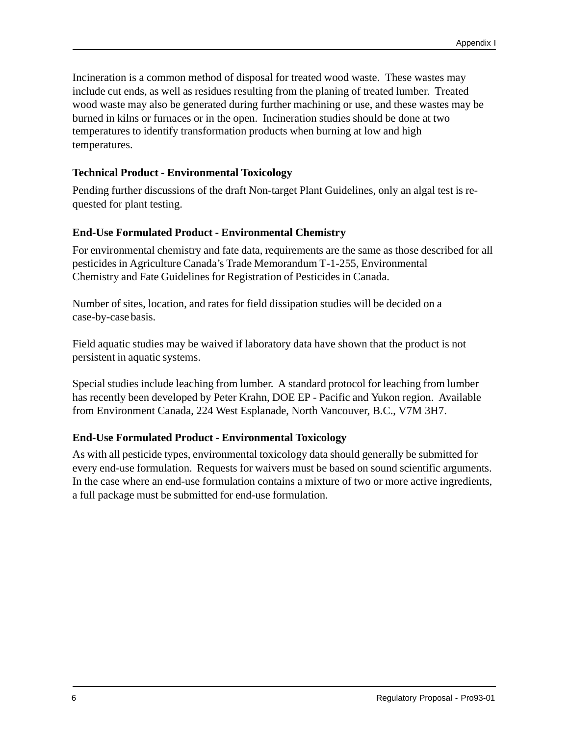Incineration is a common method of disposal for treated wood waste. These wastes may include cut ends, as well as residues resulting from the planing of treated lumber. Treated wood waste may also be generated during further machining or use, and these wastes may be burned in kilns or furnaces or in the open. Incineration studies should be done at two temperatures to identify transformation products when burning at low and high temperatures.

#### **Technical Product - Environmental Toxicology**

Pending further discussions of the draft Non-target Plant Guidelines, only an algal test is requested for plant testing.

#### **End-Use Formulated Product - Environmental Chemistry**

For environmental chemistry and fate data, requirements are the same as those described for all pesticides in Agriculture Canada's Trade Memorandum T-1-255, Environmental Chemistry and Fate Guidelines for Registration of Pesticides in Canada.

Number of sites, location, and rates for field dissipation studies will be decided on a case-by-case basis.

Field aquatic studies may be waived if laboratory data have shown that the product is not persistent in aquatic systems.

Special studies include leaching from lumber. A standard protocol for leaching from lumber has recently been developed by Peter Krahn, DOE EP - Pacific and Yukon region. Available from Environment Canada, 224 West Esplanade, North Vancouver, B.C., V7M 3H7.

#### **End-Use Formulated Product - Environmental Toxicology**

As with all pesticide types, environmental toxicology data should generally be submitted for every end-use formulation. Requests for waivers must be based on sound scientific arguments. In the case where an end-use formulation contains a mixture of two or more active ingredients, a full package must be submitted for end-use formulation.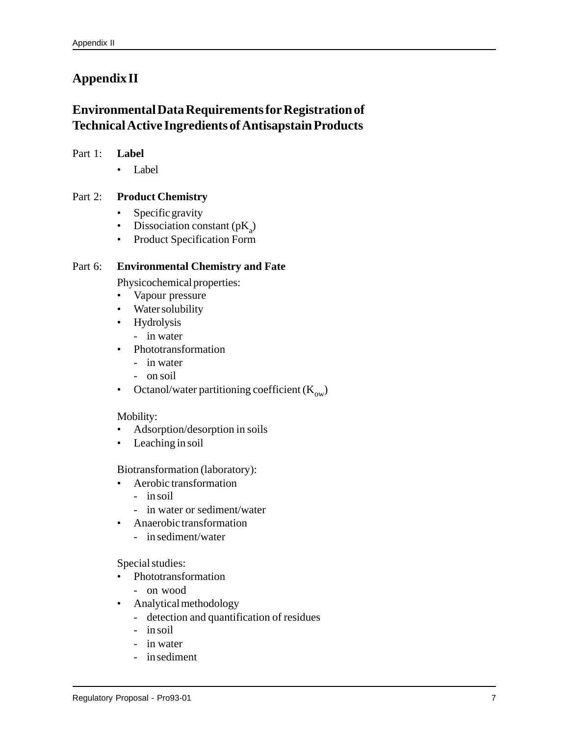## **Appendix II**

## **Environmental Data Requirements for Registration of Technical Active Ingredients of Antisapstain Products**

#### Part 1: **Label**

• Label

#### Part 2: **Product Chemistry**

- Specific gravity
- Dissociation constant  $(pK_a)$
- Product Specification Form

#### Part 6: **Environmental Chemistry and Fate**

Physicochemical properties:

- Vapour pressure
- Water solubility
- Hydrolysis
	- in water
- Phototransformation
	- in water
	- on soil
- Octanol/water partitioning coefficient  $(K_{ow})$

#### Mobility:

- Adsorption/desorption in soils
- Leaching in soil

Biotransformation (laboratory):

- Aerobic transformation
	- in soil
	- in water or sediment/water
- Anaerobic transformation
	- in sediment/water

Special studies:

- Phototransformation
	- on wood
- Analytical methodology
	- detection and quantification of residues
	- in soil
	- in water
	- in sediment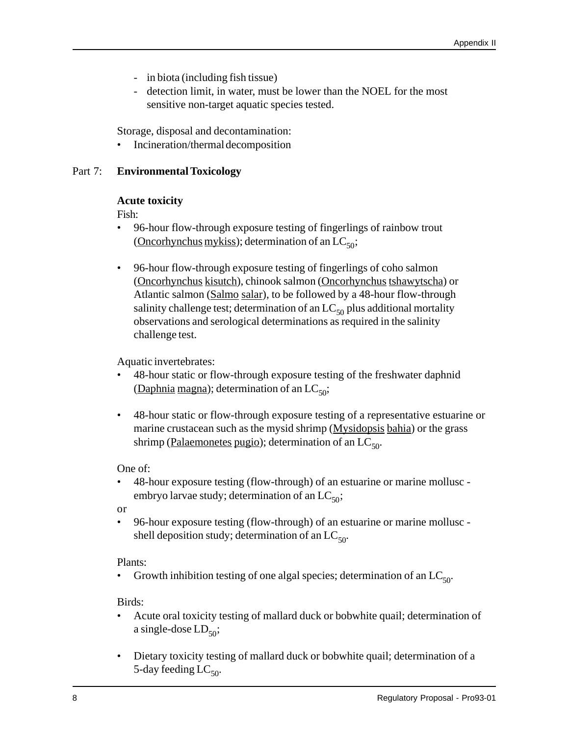- in biota (including fish tissue)
- detection limit, in water, must be lower than the NOEL for the most sensitive non-target aquatic species tested.

Storage, disposal and decontamination:

• Incineration/thermal decomposition

#### Part 7: **Environmental Toxicology**

#### **Acute toxicity**

Fish:

- 96-hour flow-through exposure testing of fingerlings of rainbow trout (Oncorhynchus mykiss); determination of an  $LC_{50}$ ;
- 96-hour flow-through exposure testing of fingerlings of coho salmon (Oncorhynchus kisutch), chinook salmon (Oncorhynchus tshawytscha) or Atlantic salmon (Salmo salar), to be followed by a 48-hour flow-through salinity challenge test; determination of an  $LC_{50}$  plus additional mortality observations and serological determinations as required in the salinity challenge test.

Aquatic invertebrates:

- 48-hour static or flow-through exposure testing of the freshwater daphnid (Daphnia magna); determination of an  $LC_{50}$ ;
- 48-hour static or flow-through exposure testing of a representative estuarine or marine crustacean such as the mysid shrimp (Mysidopsis bahia) or the grass shrimp (Palaemonetes pugio); determination of an  $LC_{50}$ .

One of:

• 48-hour exposure testing (flow-through) of an estuarine or marine mollusc embryo larvae study; determination of an  $LC_{50}$ ;

or

• 96-hour exposure testing (flow-through) of an estuarine or marine mollusc shell deposition study; determination of an  $LC_{50}$ .

Plants:

Growth inhibition testing of one algal species; determination of an  $LC_{50}$ .

Birds:

- Acute oral toxicity testing of mallard duck or bobwhite quail; determination of a single-dose  $LD_{50}$ ;
- Dietary toxicity testing of mallard duck or bobwhite quail; determination of a 5-day feeding  $LC_{50}$ .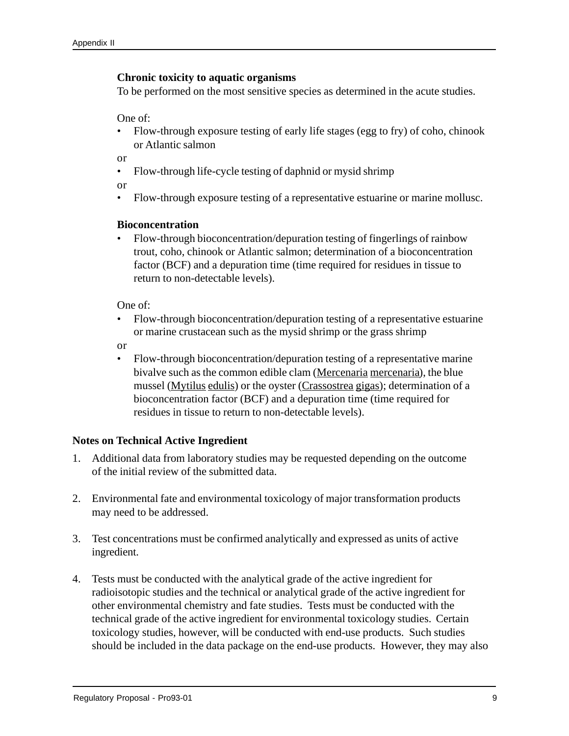#### **Chronic toxicity to aquatic organisms**

To be performed on the most sensitive species as determined in the acute studies.

One of:

• Flow-through exposure testing of early life stages (egg to fry) of coho, chinook or Atlantic salmon

or

• Flow-through life-cycle testing of daphnid or mysid shrimp

or

• Flow-through exposure testing of a representative estuarine or marine mollusc.

#### **Bioconcentration**

• Flow-through bioconcentration/depuration testing of fingerlings of rainbow trout, coho, chinook or Atlantic salmon; determination of a bioconcentration factor (BCF) and a depuration time (time required for residues in tissue to return to non-detectable levels).

One of:

• Flow-through bioconcentration/depuration testing of a representative estuarine or marine crustacean such as the mysid shrimp or the grass shrimp

or

• Flow-through bioconcentration/depuration testing of a representative marine bivalve such as the common edible clam (Mercenaria mercenaria), the blue mussel (Mytilus edulis) or the oyster (Crassostrea gigas); determination of a bioconcentration factor (BCF) and a depuration time (time required for residues in tissue to return to non-detectable levels).

#### **Notes on Technical Active Ingredient**

- 1. Additional data from laboratory studies may be requested depending on the outcome of the initial review of the submitted data.
- 2. Environmental fate and environmental toxicology of major transformation products may need to be addressed.
- 3. Test concentrations must be confirmed analytically and expressed as units of active ingredient.
- 4. Tests must be conducted with the analytical grade of the active ingredient for radioisotopic studies and the technical or analytical grade of the active ingredient for other environmental chemistry and fate studies. Tests must be conducted with the technical grade of the active ingredient for environmental toxicology studies. Certain toxicology studies, however, will be conducted with end-use products. Such studies should be included in the data package on the end-use products. However, they may also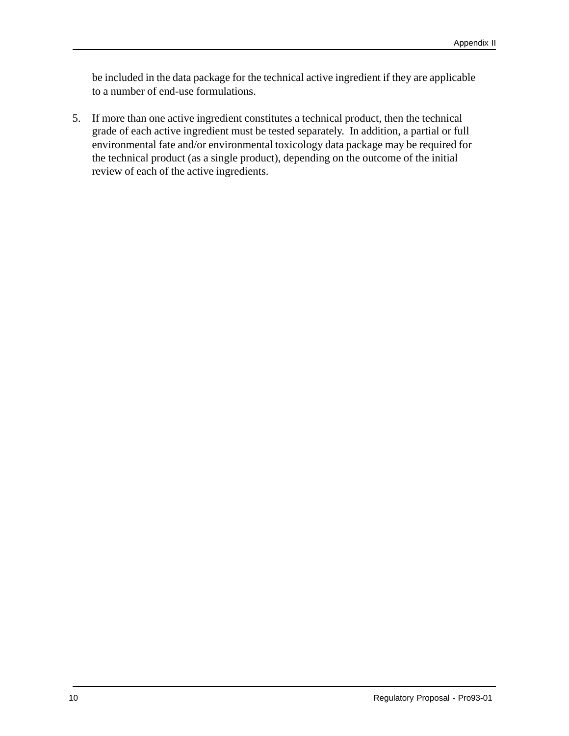be included in the data package for the technical active ingredient if they are applicable to a number of end-use formulations.

5. If more than one active ingredient constitutes a technical product, then the technical grade of each active ingredient must be tested separately. In addition, a partial or full environmental fate and/or environmental toxicology data package may be required for the technical product (as a single product), depending on the outcome of the initial review of each of the active ingredients.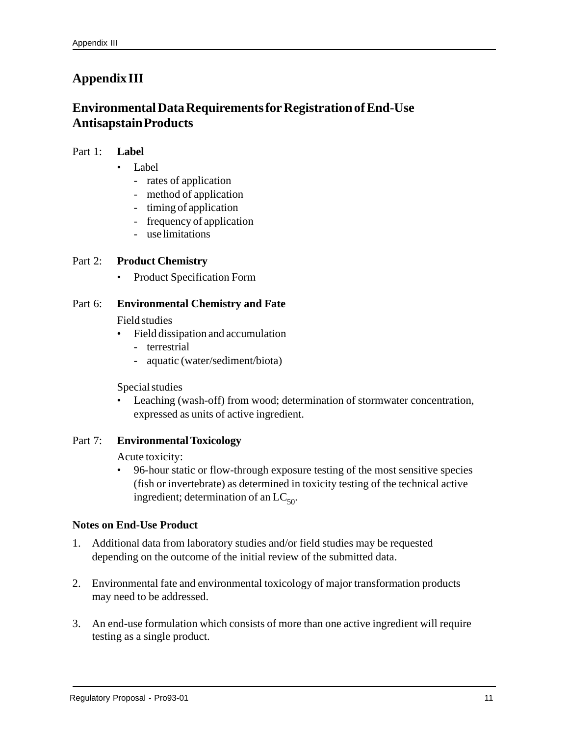## **Appendix III**

## **Environmental Data Requirements for Registration of End-Use Antisapstain Products**

#### Part 1: **Label**

- Label
	- rates of application
	- method of application
	- timing of application
	- frequency of application
	- use limitations

#### Part 2: **Product Chemistry**

• Product Specification Form

#### Part 6: **Environmental Chemistry and Fate**

#### Field studies

- Field dissipation and accumulation
	- terrestrial
	- aquatic (water/sediment/biota)

Special studies

• Leaching (wash-off) from wood; determination of stormwater concentration, expressed as units of active ingredient.

#### Part 7: **Environmental Toxicology**

Acute toxicity:

• 96-hour static or flow-through exposure testing of the most sensitive species (fish or invertebrate) as determined in toxicity testing of the technical active ingredient; determination of an  $LC_{50}$ .

#### **Notes on End-Use Product**

- 1. Additional data from laboratory studies and/or field studies may be requested depending on the outcome of the initial review of the submitted data.
- 2. Environmental fate and environmental toxicology of major transformation products may need to be addressed.
- 3. An end-use formulation which consists of more than one active ingredient will require testing as a single product.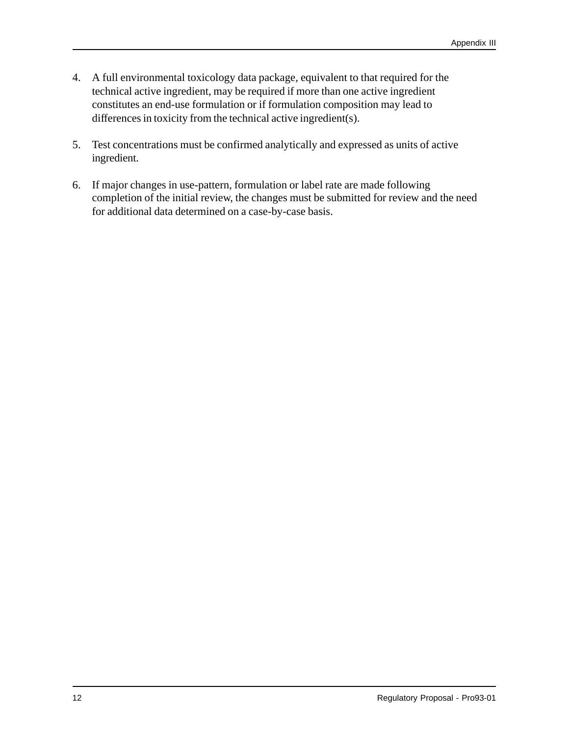- 4. A full environmental toxicology data package, equivalent to that required for the technical active ingredient, may be required if more than one active ingredient constitutes an end-use formulation or if formulation composition may lead to differences in toxicity from the technical active ingredient(s).
- 5. Test concentrations must be confirmed analytically and expressed as units of active ingredient.
- 6. If major changes in use-pattern, formulation or label rate are made following completion of the initial review, the changes must be submitted for review and the need for additional data determined on a case-by-case basis.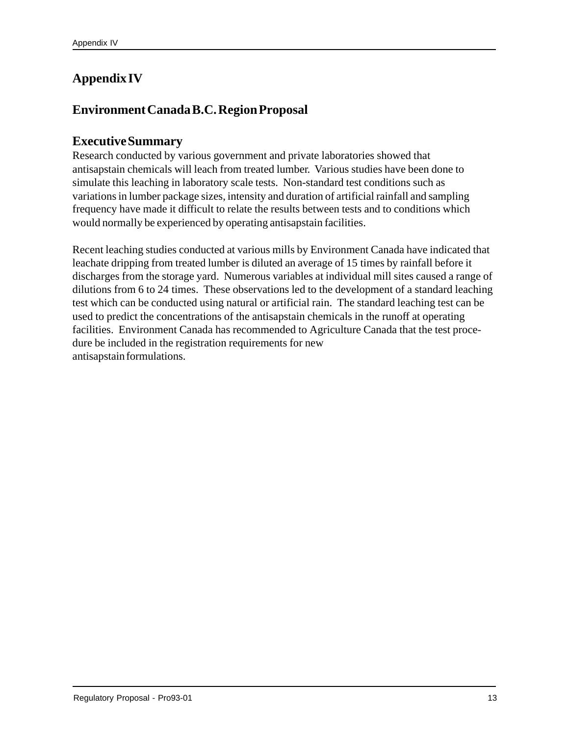## **Appendix IV**

## **Environment Canada B.C. Region Proposal**

#### **Executive Summary**

Research conducted by various government and private laboratories showed that antisapstain chemicals will leach from treated lumber. Various studies have been done to simulate this leaching in laboratory scale tests. Non-standard test conditions such as variations in lumber package sizes, intensity and duration of artificial rainfall and sampling frequency have made it difficult to relate the results between tests and to conditions which would normally be experienced by operating antisapstain facilities.

Recent leaching studies conducted at various mills by Environment Canada have indicated that leachate dripping from treated lumber is diluted an average of 15 times by rainfall before it discharges from the storage yard. Numerous variables at individual mill sites caused a range of dilutions from 6 to 24 times. These observations led to the development of a standard leaching test which can be conducted using natural or artificial rain. The standard leaching test can be used to predict the concentrations of the antisapstain chemicals in the runoff at operating facilities. Environment Canada has recommended to Agriculture Canada that the test procedure be included in the registration requirements for new antisapstain formulations.